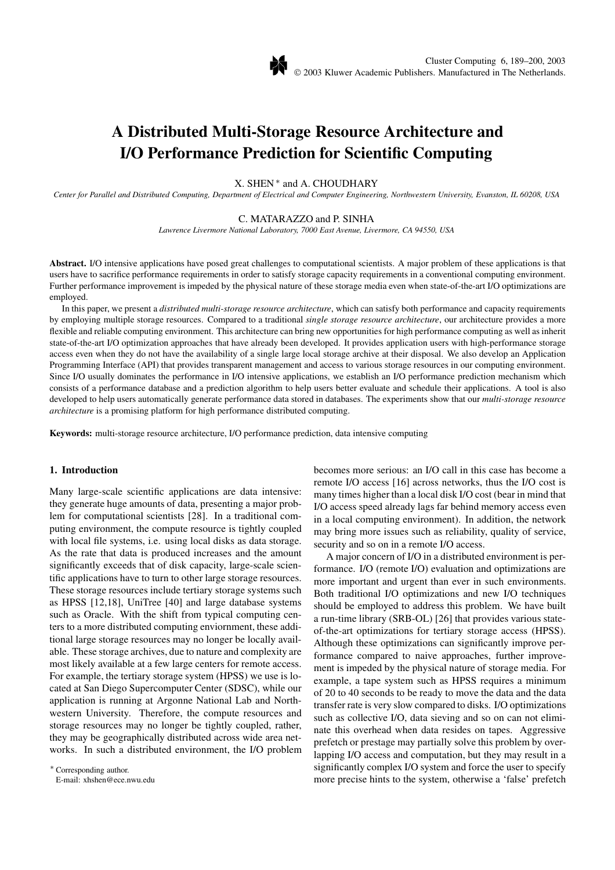

# **A Distributed Multi-Storage Resource Architecture and I/O Performance Prediction for Scientific Computing**

X. SHEN ∗ and A. CHOUDHARY

*Center for Parallel and Distributed Computing, Department of Electrical and Computer Engineering, Northwestern University, Evanston, IL 60208, USA*

## C. MATARAZZO and P. SINHA

*Lawrence Livermore National Laboratory, 7000 East Avenue, Livermore, CA 94550, USA*

**Abstract.** I/O intensive applications have posed great challenges to computational scientists. A major problem of these applications is that users have to sacrifice performance requirements in order to satisfy storage capacity requirements in a conventional computing environment. Further performance improvement is impeded by the physical nature of these storage media even when state-of-the-art I/O optimizations are employed.

In this paper, we present a *distributed multi-storage resource architecture*, which can satisfy both performance and capacity requirements by employing multiple storage resources. Compared to a traditional *single storage resource architecture*, our architecture provides a more flexible and reliable computing environment. This architecture can bring new opportunities for high performance computing as well as inherit state-of-the-art I/O optimization approaches that have already been developed. It provides application users with high-performance storage access even when they do not have the availability of a single large local storage archive at their disposal. We also develop an Application Programming Interface (API) that provides transparent management and access to various storage resources in our computing environment. Since I/O usually dominates the performance in I/O intensive applications, we establish an I/O performance prediction mechanism which consists of a performance database and a prediction algorithm to help users better evaluate and schedule their applications. A tool is also developed to help users automatically generate performance data stored in databases. The experiments show that our *multi-storage resource architecture* is a promising platform for high performance distributed computing.

**Keywords:** multi-storage resource architecture, I/O performance prediction, data intensive computing

## **1. Introduction**

Many large-scale scientific applications are data intensive: they generate huge amounts of data, presenting a major problem for computational scientists [28]. In a traditional computing environment, the compute resource is tightly coupled with local file systems, i.e. using local disks as data storage. As the rate that data is produced increases and the amount significantly exceeds that of disk capacity, large-scale scientific applications have to turn to other large storage resources. These storage resources include tertiary storage systems such as HPSS [12,18], UniTree [40] and large database systems such as Oracle. With the shift from typical computing centers to a more distributed computing enviornment, these additional large storage resources may no longer be locally available. These storage archives, due to nature and complexity are most likely available at a few large centers for remote access. For example, the tertiary storage system (HPSS) we use is located at San Diego Supercomputer Center (SDSC), while our application is running at Argonne National Lab and Northwestern University. Therefore, the compute resources and storage resources may no longer be tightly coupled, rather, they may be geographically distributed across wide area networks. In such a distributed environment, the I/O problem

∗ Corresponding author.

E-mail: xhshen@ece.nwu.edu

becomes more serious: an I/O call in this case has become a remote I/O access [16] across networks, thus the I/O cost is many times higher than a local disk I/O cost (bear in mind that I/O access speed already lags far behind memory access even in a local computing environment). In addition, the network may bring more issues such as reliability, quality of service, security and so on in a remote I/O access.

A major concern of I/O in a distributed environment is performance. I/O (remote I/O) evaluation and optimizations are more important and urgent than ever in such environments. Both traditional I/O optimizations and new I/O techniques should be employed to address this problem. We have built a run-time library (SRB-OL) [26] that provides various stateof-the-art optimizations for tertiary storage access (HPSS). Although these optimizations can significantly improve performance compared to naive approaches, further improvement is impeded by the physical nature of storage media. For example, a tape system such as HPSS requires a minimum of 20 to 40 seconds to be ready to move the data and the data transfer rate is very slow compared to disks. I/O optimizations such as collective I/O, data sieving and so on can not eliminate this overhead when data resides on tapes. Aggressive prefetch or prestage may partially solve this problem by overlapping I/O access and computation, but they may result in a significantly complex I/O system and force the user to specify more precise hints to the system, otherwise a 'false' prefetch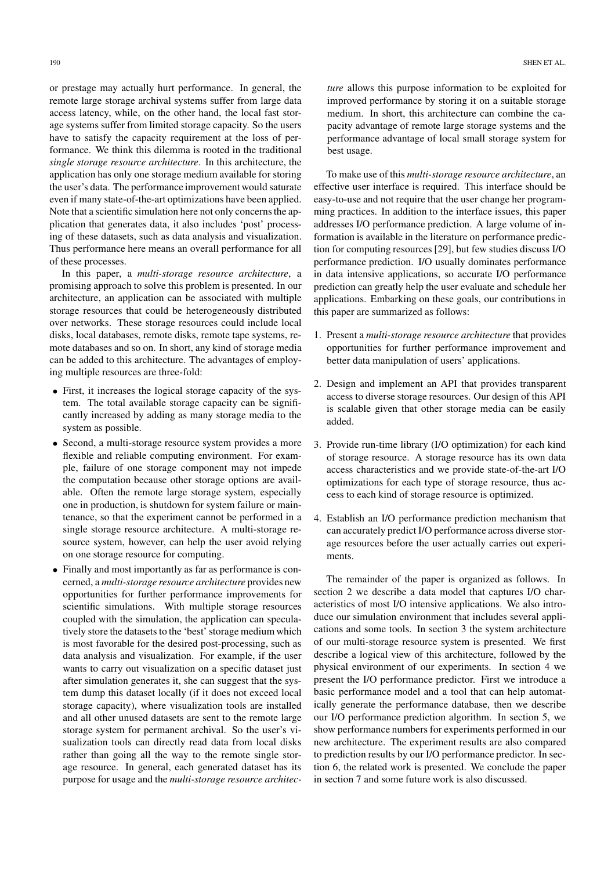or prestage may actually hurt performance. In general, the remote large storage archival systems suffer from large data access latency, while, on the other hand, the local fast storage systems suffer from limited storage capacity. So the users have to satisfy the capacity requirement at the loss of performance. We think this dilemma is rooted in the traditional *single storage resource architecture*. In this architecture, the application has only one storage medium available for storing the user's data. The performance improvement would saturate even if many state-of-the-art optimizations have been applied. Note that a scientific simulation here not only concerns the application that generates data, it also includes 'post' processing of these datasets, such as data analysis and visualization. Thus performance here means an overall performance for all of these processes.

In this paper, a *multi-storage resource architecture*, a promising approach to solve this problem is presented. In our architecture, an application can be associated with multiple storage resources that could be heterogeneously distributed over networks. These storage resources could include local disks, local databases, remote disks, remote tape systems, remote databases and so on. In short, any kind of storage media can be added to this architecture. The advantages of employing multiple resources are three-fold:

- First, it increases the logical storage capacity of the system. The total available storage capacity can be significantly increased by adding as many storage media to the system as possible.
- Second, a multi-storage resource system provides a more flexible and reliable computing environment. For example, failure of one storage component may not impede the computation because other storage options are available. Often the remote large storage system, especially one in production, is shutdown for system failure or maintenance, so that the experiment cannot be performed in a single storage resource architecture. A multi-storage resource system, however, can help the user avoid relying on one storage resource for computing.
- Finally and most importantly as far as performance is concerned, a *multi-storage resource architecture* provides new opportunities for further performance improvements for scientific simulations. With multiple storage resources coupled with the simulation, the application can speculatively store the datasets to the 'best' storage medium which is most favorable for the desired post-processing, such as data analysis and visualization. For example, if the user wants to carry out visualization on a specific dataset just after simulation generates it, she can suggest that the system dump this dataset locally (if it does not exceed local storage capacity), where visualization tools are installed and all other unused datasets are sent to the remote large storage system for permanent archival. So the user's visualization tools can directly read data from local disks rather than going all the way to the remote single storage resource. In general, each generated dataset has its purpose for usage and the *multi-storage resource architec-*

*ture* allows this purpose information to be exploited for improved performance by storing it on a suitable storage medium. In short, this architecture can combine the capacity advantage of remote large storage systems and the performance advantage of local small storage system for best usage.

To make use of this *multi-storage resource architecture*, an effective user interface is required. This interface should be easy-to-use and not require that the user change her programming practices. In addition to the interface issues, this paper addresses I/O performance prediction. A large volume of information is available in the literature on performance prediction for computing resources [29], but few studies discuss I/O performance prediction. I/O usually dominates performance in data intensive applications, so accurate I/O performance prediction can greatly help the user evaluate and schedule her applications. Embarking on these goals, our contributions in this paper are summarized as follows:

- 1. Present a *multi-storage resource architecture* that provides opportunities for further performance improvement and better data manipulation of users' applications.
- 2. Design and implement an API that provides transparent access to diverse storage resources. Our design of this API is scalable given that other storage media can be easily added.
- 3. Provide run-time library (I/O optimization) for each kind of storage resource. A storage resource has its own data access characteristics and we provide state-of-the-art I/O optimizations for each type of storage resource, thus access to each kind of storage resource is optimized.
- 4. Establish an I/O performance prediction mechanism that can accurately predict I/O performance across diverse storage resources before the user actually carries out experiments.

The remainder of the paper is organized as follows. In section 2 we describe a data model that captures I/O characteristics of most I/O intensive applications. We also introduce our simulation environment that includes several applications and some tools. In section 3 the system architecture of our multi-storage resource system is presented. We first describe a logical view of this architecture, followed by the physical environment of our experiments. In section 4 we present the I/O performance predictor. First we introduce a basic performance model and a tool that can help automatically generate the performance database, then we describe our I/O performance prediction algorithm. In section 5, we show performance numbers for experiments performed in our new architecture. The experiment results are also compared to prediction results by our I/O performance predictor. In section 6, the related work is presented. We conclude the paper in section 7 and some future work is also discussed.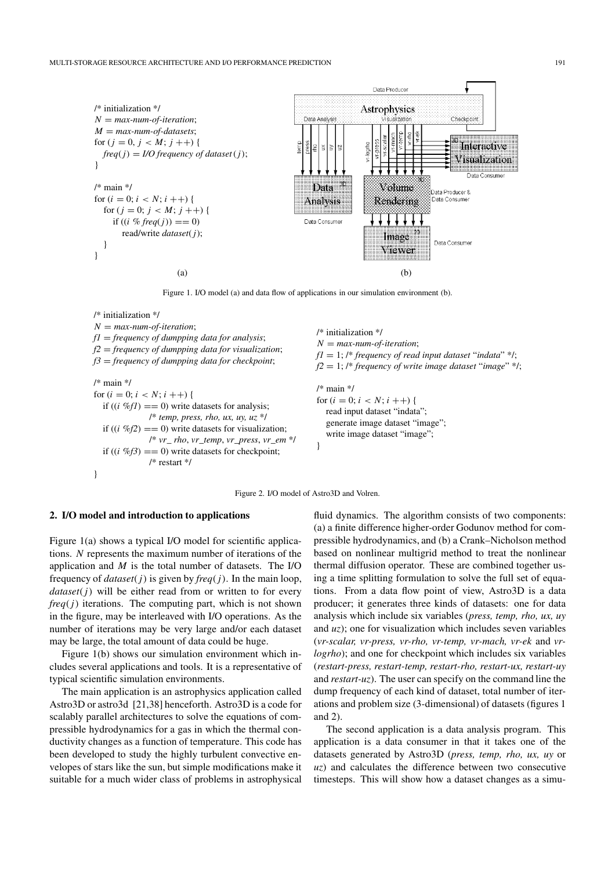

Figure 1. I/O model (a) and data flow of applications in our simulation environment (b).

| $/*$ initialization $*/$                                                                                                                                                                                                                                                                                                                    |                                                                                                                                                                                      |
|---------------------------------------------------------------------------------------------------------------------------------------------------------------------------------------------------------------------------------------------------------------------------------------------------------------------------------------------|--------------------------------------------------------------------------------------------------------------------------------------------------------------------------------------|
| $N = max$ -num-of-iteration;<br>$fl = \text{frequency of dumpping}$ data for analysis;<br>$f2 = \text{frequency of damping data for visualization};$<br>$f3 = \text{frequency of damping data for checkpoint};$                                                                                                                             | $/*$ initialization $*/$<br>$N = max$ -num-of-iteration;<br>$fl = 1$ ; /* frequency of read input dataset "indata" */;<br>$f2 = 1$ ; /* frequency of write image dataset "image" */; |
| $/*$ main $*/$<br>for $(i = 0; i < N; i++)$ {<br>if $((i \% f)$ == 0) write datasets for analysis;<br>/* temp, press, rho, ux, uy, uz, */<br>if $((i \% f2) == 0)$ write datasets for visualization;<br>$\frac{1}{2}$ vr _ rho, vr _temp, vr _press, vr _em */<br>if $((i \% f3) == 0)$ write datasets for checkpoint;<br>$/*$ restart $*/$ | $/*$ main $*/$<br>for $(i = 0; i < N; i++)$ {<br>read input dataset "indata";<br>generate image dataset "image";<br>write image dataset "image";                                     |
|                                                                                                                                                                                                                                                                                                                                             |                                                                                                                                                                                      |

## Figure 2. I/O model of Astro3D and Volren.

## **2. I/O model and introduction to applications**

Figure 1(a) shows a typical I/O model for scientific applications. *N* represents the maximum number of iterations of the application and *M* is the total number of datasets. The I/O frequency of *dataset(j )* is given by *freq(j )*. In the main loop,  $dataset(i)$  will be either read from or written to for every  $freq(j)$  iterations. The computing part, which is not shown in the figure, may be interleaved with I/O operations. As the number of iterations may be very large and/or each dataset may be large, the total amount of data could be huge.

Figure 1(b) shows our simulation environment which includes several applications and tools. It is a representative of typical scientific simulation environments.

The main application is an astrophysics application called Astro3D or astro3d [21,38] henceforth. Astro3D is a code for scalably parallel architectures to solve the equations of compressible hydrodynamics for a gas in which the thermal conductivity changes as a function of temperature. This code has been developed to study the highly turbulent convective envelopes of stars like the sun, but simple modifications make it suitable for a much wider class of problems in astrophysical

fluid dynamics. The algorithm consists of two components: (a) a finite difference higher-order Godunov method for compressible hydrodynamics, and (b) a Crank–Nicholson method based on nonlinear multigrid method to treat the nonlinear thermal diffusion operator. These are combined together using a time splitting formulation to solve the full set of equations. From a data flow point of view, Astro3D is a data producer; it generates three kinds of datasets: one for data analysis which include six variables (*press, temp, rho, ux, uy* and *uz*); one for visualization which includes seven variables (*vr-scalar, vr-press, vr-rho, vr-temp, vr-mach, vr-ek* and *vrlogrho*); and one for checkpoint which includes six variables (*restart-press, restart-temp, restart-rho, restart-ux, restart-uy* and *restart-uz*). The user can specify on the command line the dump frequency of each kind of dataset, total number of iterations and problem size (3-dimensional) of datasets (figures 1 and 2).

The second application is a data analysis program. This application is a data consumer in that it takes one of the datasets generated by Astro3D (*press, temp, rho, ux, uy* or *uz*) and calculates the difference between two consecutive timesteps. This will show how a dataset changes as a simu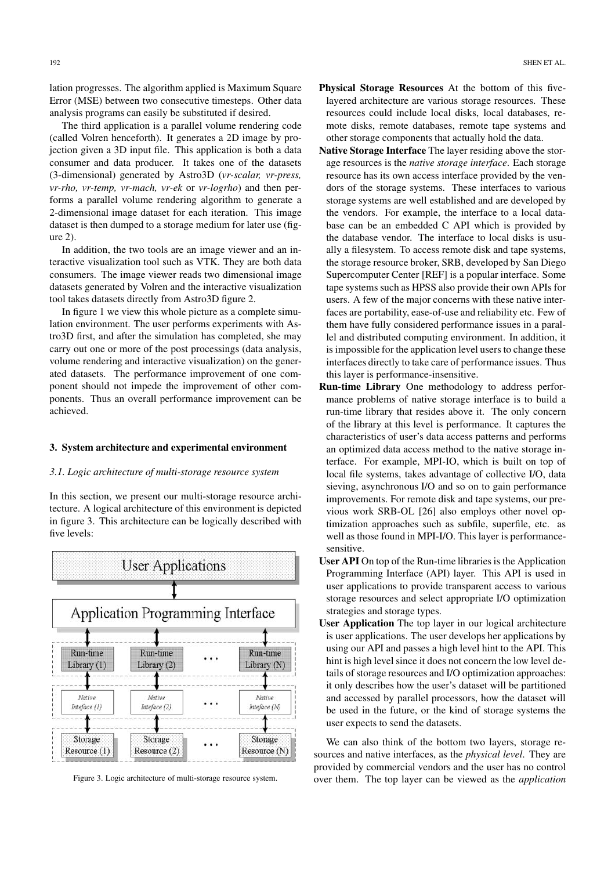lation progresses. The algorithm applied is Maximum Square Error (MSE) between two consecutive timesteps. Other data analysis programs can easily be substituted if desired.

The third application is a parallel volume rendering code (called Volren henceforth). It generates a 2D image by projection given a 3D input file. This application is both a data consumer and data producer. It takes one of the datasets (3-dimensional) generated by Astro3D (*vr-scalar, vr-press, vr-rho, vr-temp, vr-mach, vr-ek* or *vr-logrho*) and then performs a parallel volume rendering algorithm to generate a 2-dimensional image dataset for each iteration. This image dataset is then dumped to a storage medium for later use (figure 2).

In addition, the two tools are an image viewer and an interactive visualization tool such as VTK. They are both data consumers. The image viewer reads two dimensional image datasets generated by Volren and the interactive visualization tool takes datasets directly from Astro3D figure 2.

In figure 1 we view this whole picture as a complete simulation environment. The user performs experiments with Astro3D first, and after the simulation has completed, she may carry out one or more of the post processings (data analysis, volume rendering and interactive visualization) on the generated datasets. The performance improvement of one component should not impede the improvement of other components. Thus an overall performance improvement can be achieved.

## **3. System architecture and experimental environment**

#### *3.1. Logic architecture of multi-storage resource system*

In this section, we present our multi-storage resource architecture. A logical architecture of this environment is depicted in figure 3. This architecture can be logically described with five levels:



Figure 3. Logic architecture of multi-storage resource system.

- **Physical Storage Resources** At the bottom of this fivelayered architecture are various storage resources. These resources could include local disks, local databases, remote disks, remote databases, remote tape systems and other storage components that actually hold the data.
- **Native Storage Interface** The layer residing above the storage resources is the *native storage interface*. Each storage resource has its own access interface provided by the vendors of the storage systems. These interfaces to various storage systems are well established and are developed by the vendors. For example, the interface to a local database can be an embedded C API which is provided by the database vendor. The interface to local disks is usually a filesystem. To access remote disk and tape systems, the storage resource broker, SRB, developed by San Diego Supercomputer Center [REF] is a popular interface. Some tape systems such as HPSS also provide their own APIs for users. A few of the major concerns with these native interfaces are portability, ease-of-use and reliability etc. Few of them have fully considered performance issues in a parallel and distributed computing environment. In addition, it is impossible for the application level users to change these interfaces directly to take care of performance issues. Thus this layer is performance-insensitive.
- **Run-time Library** One methodology to address performance problems of native storage interface is to build a run-time library that resides above it. The only concern of the library at this level is performance. It captures the characteristics of user's data access patterns and performs an optimized data access method to the native storage interface. For example, MPI-IO, which is built on top of local file systems, takes advantage of collective I/O, data sieving, asynchronous I/O and so on to gain performance improvements. For remote disk and tape systems, our previous work SRB-OL [26] also employs other novel optimization approaches such as subfile, superfile, etc. as well as those found in MPI-I/O. This layer is performancesensitive.
- **User API** On top of the Run-time libraries is the Application Programming Interface (API) layer. This API is used in user applications to provide transparent access to various storage resources and select appropriate I/O optimization strategies and storage types.
- **User Application** The top layer in our logical architecture is user applications. The user develops her applications by using our API and passes a high level hint to the API. This hint is high level since it does not concern the low level details of storage resources and I/O optimization approaches: it only describes how the user's dataset will be partitioned and accessed by parallel processors, how the dataset will be used in the future, or the kind of storage systems the user expects to send the datasets.

We can also think of the bottom two layers, storage resources and native interfaces, as the *physical level*. They are provided by commercial vendors and the user has no control over them. The top layer can be viewed as the *application*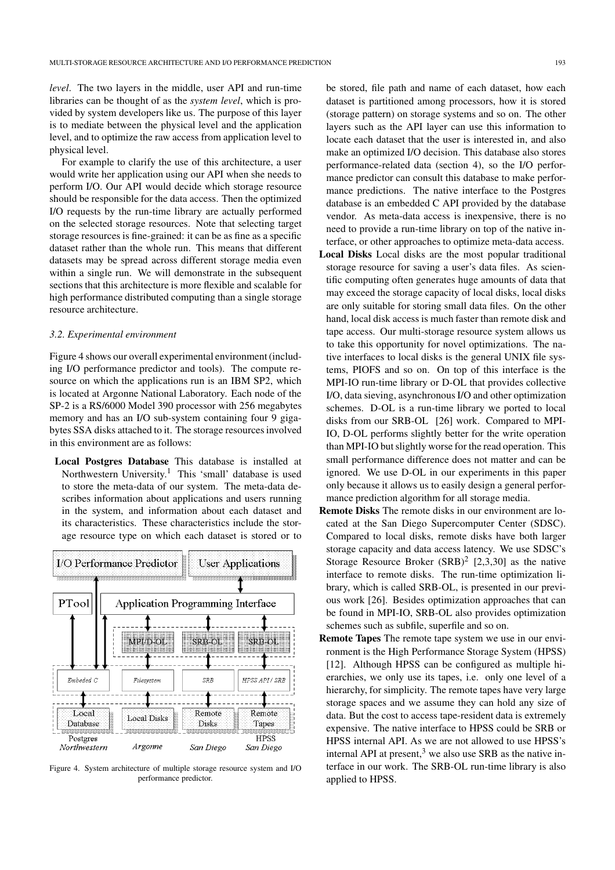*level*. The two layers in the middle, user API and run-time libraries can be thought of as the *system level*, which is provided by system developers like us. The purpose of this layer is to mediate between the physical level and the application level, and to optimize the raw access from application level to physical level.

For example to clarify the use of this architecture, a user would write her application using our API when she needs to perform I/O. Our API would decide which storage resource should be responsible for the data access. Then the optimized I/O requests by the run-time library are actually performed on the selected storage resources. Note that selecting target storage resources is fine-grained: it can be as fine as a specific dataset rather than the whole run. This means that different datasets may be spread across different storage media even within a single run. We will demonstrate in the subsequent sections that this architecture is more flexible and scalable for high performance distributed computing than a single storage resource architecture.

## *3.2. Experimental environment*

Figure 4 shows our overall experimental environment (including I/O performance predictor and tools). The compute resource on which the applications run is an IBM SP2, which is located at Argonne National Laboratory. Each node of the SP-2 is a RS/6000 Model 390 processor with 256 megabytes memory and has an I/O sub-system containing four 9 gigabytes SSA disks attached to it. The storage resources involved in this environment are as follows:

**Local Postgres Database** This database is installed at Northwestern University.<sup>1</sup> This 'small' database is used to store the meta-data of our system. The meta-data describes information about applications and users running in the system, and information about each dataset and its characteristics. These characteristics include the storage resource type on which each dataset is stored or to



Figure 4. System architecture of multiple storage resource system and I/O performance predictor.

be stored, file path and name of each dataset, how each dataset is partitioned among processors, how it is stored (storage pattern) on storage systems and so on. The other layers such as the API layer can use this information to locate each dataset that the user is interested in, and also make an optimized I/O decision. This database also stores performance-related data (section 4), so the I/O performance predictor can consult this database to make performance predictions. The native interface to the Postgres database is an embedded C API provided by the database vendor. As meta-data access is inexpensive, there is no need to provide a run-time library on top of the native interface, or other approaches to optimize meta-data access.

- **Local Disks** Local disks are the most popular traditional storage resource for saving a user's data files. As scientific computing often generates huge amounts of data that may exceed the storage capacity of local disks, local disks are only suitable for storing small data files. On the other hand, local disk access is much faster than remote disk and tape access. Our multi-storage resource system allows us to take this opportunity for novel optimizations. The native interfaces to local disks is the general UNIX file systems, PIOFS and so on. On top of this interface is the MPI-IO run-time library or D-OL that provides collective I/O, data sieving, asynchronous I/O and other optimization schemes. D-OL is a run-time library we ported to local disks from our SRB-OL [26] work. Compared to MPI-IO, D-OL performs slightly better for the write operation than MPI-IO but slightly worse for the read operation. This small performance difference does not matter and can be ignored. We use D-OL in our experiments in this paper only because it allows us to easily design a general performance prediction algorithm for all storage media.
- **Remote Disks** The remote disks in our environment are located at the San Diego Supercomputer Center (SDSC). Compared to local disks, remote disks have both larger storage capacity and data access latency. We use SDSC's Storage Resource Broker  $(SRB)^2$  [2,3,30] as the native interface to remote disks. The run-time optimization library, which is called SRB-OL, is presented in our previous work [26]. Besides optimization approaches that can be found in MPI-IO, SRB-OL also provides optimization schemes such as subfile, superfile and so on.
- **Remote Tapes** The remote tape system we use in our environment is the High Performance Storage System (HPSS) [12]. Although HPSS can be configured as multiple hierarchies, we only use its tapes, i.e. only one level of a hierarchy, for simplicity. The remote tapes have very large storage spaces and we assume they can hold any size of data. But the cost to access tape-resident data is extremely expensive. The native interface to HPSS could be SRB or HPSS internal API. As we are not allowed to use HPSS's internal API at present, $3$  we also use SRB as the native interface in our work. The SRB-OL run-time library is also applied to HPSS.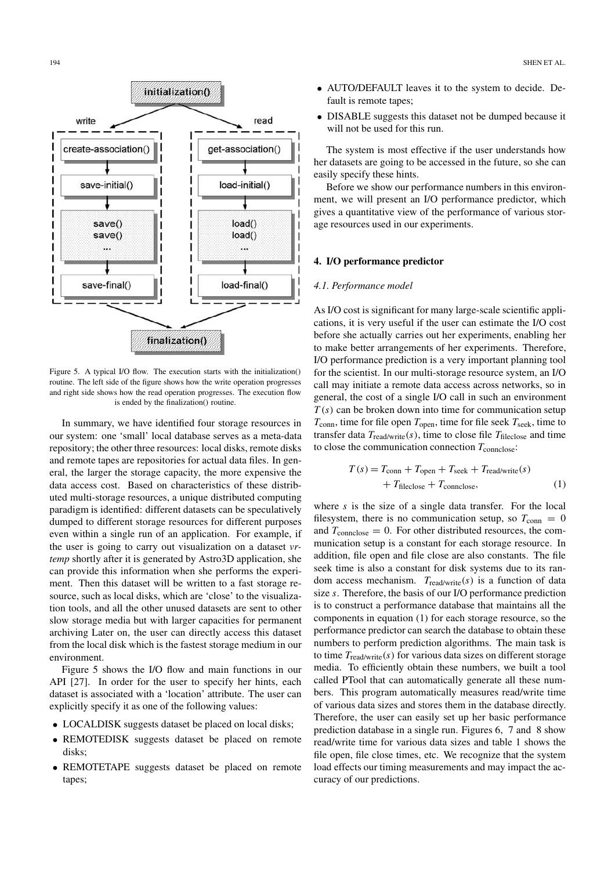

Figure 5. A typical I/O flow. The execution starts with the initialization() routine. The left side of the figure shows how the write operation progresses and right side shows how the read operation progresses. The execution flow is ended by the finalization() routine.

In summary, we have identified four storage resources in our system: one 'small' local database serves as a meta-data repository; the other three resources: local disks, remote disks and remote tapes are repositories for actual data files. In general, the larger the storage capacity, the more expensive the data access cost. Based on characteristics of these distributed multi-storage resources, a unique distributed computing paradigm is identified: different datasets can be speculatively dumped to different storage resources for different purposes even within a single run of an application. For example, if the user is going to carry out visualization on a dataset *vrtemp* shortly after it is generated by Astro3D application, she can provide this information when she performs the experiment. Then this dataset will be written to a fast storage resource, such as local disks, which are 'close' to the visualization tools, and all the other unused datasets are sent to other slow storage media but with larger capacities for permanent archiving Later on, the user can directly access this dataset from the local disk which is the fastest storage medium in our environment.

Figure 5 shows the I/O flow and main functions in our API [27]. In order for the user to specify her hints, each dataset is associated with a 'location' attribute. The user can explicitly specify it as one of the following values:

- LOCALDISK suggests dataset be placed on local disks;
- REMOTEDISK suggests dataset be placed on remote disks;
- REMOTETAPE suggests dataset be placed on remote tapes;
- AUTO/DEFAULT leaves it to the system to decide. Default is remote tapes;
- DISABLE suggests this dataset not be dumped because it will not be used for this run.

The system is most effective if the user understands how her datasets are going to be accessed in the future, so she can easily specify these hints.

Before we show our performance numbers in this environment, we will present an I/O performance predictor, which gives a quantitative view of the performance of various storage resources used in our experiments.

## **4. I/O performance predictor**

#### *4.1. Performance model*

As I/O cost is significant for many large-scale scientific applications, it is very useful if the user can estimate the I/O cost before she actually carries out her experiments, enabling her to make better arrangements of her experiments. Therefore, I/O performance prediction is a very important planning tool for the scientist. In our multi-storage resource system, an I/O call may initiate a remote data access across networks, so in general, the cost of a single I/O call in such an environment *T (s)* can be broken down into time for communication setup  $T_{\text{conn}}$ , time for file open  $T_{\text{open}}$ , time for file seek  $T_{\text{seek}}$ , time to transfer data  $T_{\text{read}/\text{write}}(s)$ , time to close file  $T_{\text{fileclose}}$  and time to close the communication connection  $T_{\text{connection}}$ :

$$
T(s) = T_{\text{conn}} + T_{\text{open}} + T_{\text{seek}} + T_{\text{read/write}}(s)
$$
  
+ 
$$
T_{\text{fileclose}} + T_{\text{connclose}},
$$
 (1)

where *s* is the size of a single data transfer. For the local filesystem, there is no communication setup, so  $T_{\text{conn}} = 0$ and  $T_{\text{connectose}} = 0$ . For other distributed resources, the communication setup is a constant for each storage resource. In addition, file open and file close are also constants. The file seek time is also a constant for disk systems due to its random access mechanism. *T*read/write*(s)* is a function of data size *s*. Therefore, the basis of our I/O performance prediction is to construct a performance database that maintains all the components in equation (1) for each storage resource, so the performance predictor can search the database to obtain these numbers to perform prediction algorithms. The main task is to time  $T_{\text{read}/\text{write}}(s)$  for various data sizes on different storage media. To efficiently obtain these numbers, we built a tool called PTool that can automatically generate all these numbers. This program automatically measures read/write time of various data sizes and stores them in the database directly. Therefore, the user can easily set up her basic performance prediction database in a single run. Figures 6, 7 and 8 show read/write time for various data sizes and table 1 shows the file open, file close times, etc. We recognize that the system load effects our timing measurements and may impact the accuracy of our predictions.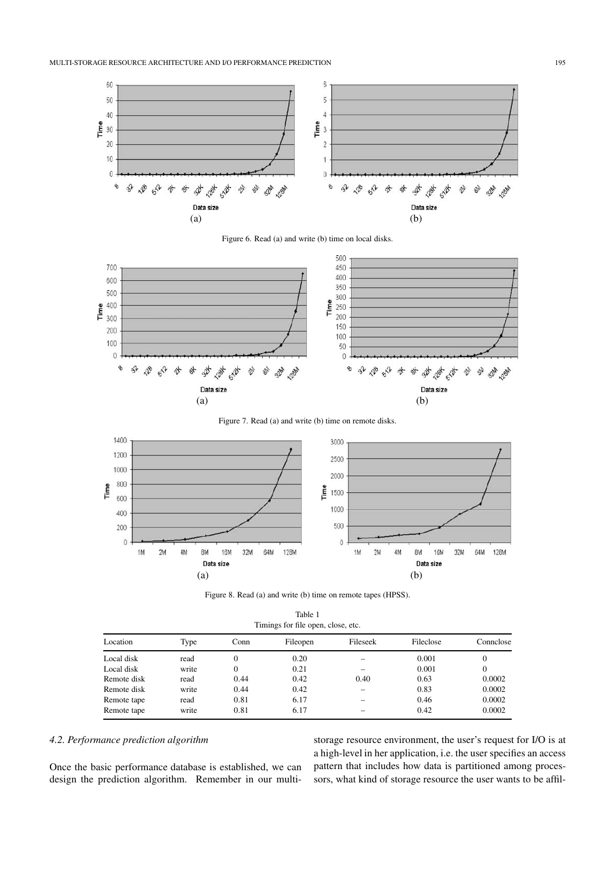

Figure 6. Read (a) and write (b) time on local disks.



#### Figure 7. Read (a) and write (b) time on remote disks.



Figure 8. Read (a) and write (b) time on remote tapes (HPSS).

| Table 1                            |
|------------------------------------|
| Timings for file open, close, etc. |

| Location    | Type  | Conn     | Fileopen | Fileseek | Fileclose | Connelose |
|-------------|-------|----------|----------|----------|-----------|-----------|
| Local disk  | read  | 0        | 0.20     |          | 0.001     | 0         |
| Local disk  | write | $\theta$ | 0.21     |          | 0.001     | $\Omega$  |
| Remote disk | read  | 0.44     | 0.42     | 0.40     | 0.63      | 0.0002    |
| Remote disk | write | 0.44     | 0.42     |          | 0.83      | 0.0002    |
| Remote tape | read  | 0.81     | 6.17     |          | 0.46      | 0.0002    |
| Remote tape | write | 0.81     | 6.17     |          | 0.42      | 0.0002    |

# *4.2. Performance prediction algorithm*

Once the basic performance database is established, we can design the prediction algorithm. Remember in our multistorage resource environment, the user's request for I/O is at a high-level in her application, i.e. the user specifies an access pattern that includes how data is partitioned among processors, what kind of storage resource the user wants to be affil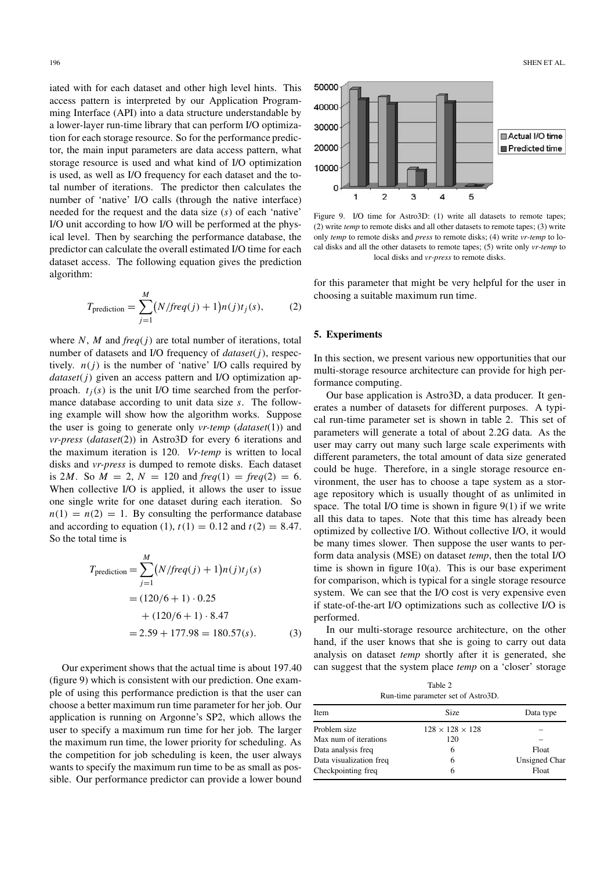iated with for each dataset and other high level hints. This access pattern is interpreted by our Application Programming Interface (API) into a data structure understandable by a lower-layer run-time library that can perform I/O optimization for each storage resource. So for the performance predictor, the main input parameters are data access pattern, what storage resource is used and what kind of I/O optimization is used, as well as I/O frequency for each dataset and the total number of iterations. The predictor then calculates the number of 'native' I/O calls (through the native interface) needed for the request and the data size (*s*) of each 'native' I/O unit according to how I/O will be performed at the physical level. Then by searching the performance database, the predictor can calculate the overall estimated I/O time for each dataset access. The following equation gives the prediction algorithm:

$$
T_{\text{prediction}} = \sum_{j=1}^{M} (N/freq(j) + 1)n(j)t_j(s), \tag{2}
$$

where  $N$ ,  $M$  and  $freq(j)$  are total number of iterations, total number of datasets and I/O frequency of *dataset(j )*, respectively.  $n(j)$  is the number of 'native' I/O calls required by  $dataset(j)$  given an access pattern and I/O optimization approach.  $t_i(s)$  is the unit I/O time searched from the performance database according to unit data size *s*. The following example will show how the algorithm works. Suppose the user is going to generate only *vr-temp* (*dataset*(1)) and *vr-press* (*dataset*(2)) in Astro3D for every 6 iterations and the maximum iteration is 120. *Vr-temp* is written to local disks and *vr-press* is dumped to remote disks. Each dataset is 2*M*. So  $M = 2$ ,  $N = 120$  and  $freq(1) = freq(2) = 6$ . When collective I/O is applied, it allows the user to issue one single write for one dataset during each iteration. So  $n(1) = n(2) = 1$ . By consulting the performance database and according to equation (1),  $t(1) = 0.12$  and  $t(2) = 8.47$ . So the total time is

$$
T_{\text{prediction}} = \sum_{j=1}^{M} (N/freq(j) + 1)n(j)t_j(s)
$$
  
= (120/6 + 1) \cdot 0.25  
+ (120/6 + 1) \cdot 8.47  
= 2.59 + 177.98 = 180.57(s). (3)

Our experiment shows that the actual time is about 197.40 (figure 9) which is consistent with our prediction. One example of using this performance prediction is that the user can choose a better maximum run time parameter for her job. Our application is running on Argonne's SP2, which allows the user to specify a maximum run time for her job. The larger the maximum run time, the lower priority for scheduling. As the competition for job scheduling is keen, the user always wants to specify the maximum run time to be as small as possible. Our performance predictor can provide a lower bound



Figure 9. I/O time for Astro3D: (1) write all datasets to remote tapes; (2) write *temp* to remote disks and all other datasets to remote tapes; (3) write only *temp* to remote disks and *press* to remote disks; (4) write *vr-temp* to local disks and all the other datasets to remote tapes; (5) write only *vr-temp* to local disks and *vr-press* to remote disks.

for this parameter that might be very helpful for the user in choosing a suitable maximum run time.

## **5. Experiments**

In this section, we present various new opportunities that our multi-storage resource architecture can provide for high performance computing.

Our base application is Astro3D, a data producer. It generates a number of datasets for different purposes. A typical run-time parameter set is shown in table 2. This set of parameters will generate a total of about 2.2G data. As the user may carry out many such large scale experiments with different parameters, the total amount of data size generated could be huge. Therefore, in a single storage resource environment, the user has to choose a tape system as a storage repository which is usually thought of as unlimited in space. The total I/O time is shown in figure 9(1) if we write all this data to tapes. Note that this time has already been optimized by collective I/O. Without collective I/O, it would be many times slower. Then suppose the user wants to perform data analysis (MSE) on dataset *temp*, then the total I/O time is shown in figure  $10(a)$ . This is our base experiment for comparison, which is typical for a single storage resource system. We can see that the I/O cost is very expensive even if state-of-the-art I/O optimizations such as collective I/O is performed.

In our multi-storage resource architecture, on the other hand, if the user knows that she is going to carry out data analysis on dataset *temp* shortly after it is generated, she can suggest that the system place *temp* on a 'closer' storage

|                                    | Table 2 |  |
|------------------------------------|---------|--|
| Run-time parameter set of Astro3D. |         |  |

| Item                    | <b>Size</b>                 | Data type     |  |
|-------------------------|-----------------------------|---------------|--|
| Problem size            | $128 \times 128 \times 128$ |               |  |
| Max num of iterations   | 120                         |               |  |
| Data analysis freq      | 6                           | Float         |  |
| Data visualization freq | 6                           | Unsigned Char |  |
| Checkpointing freq      | 6                           | Float         |  |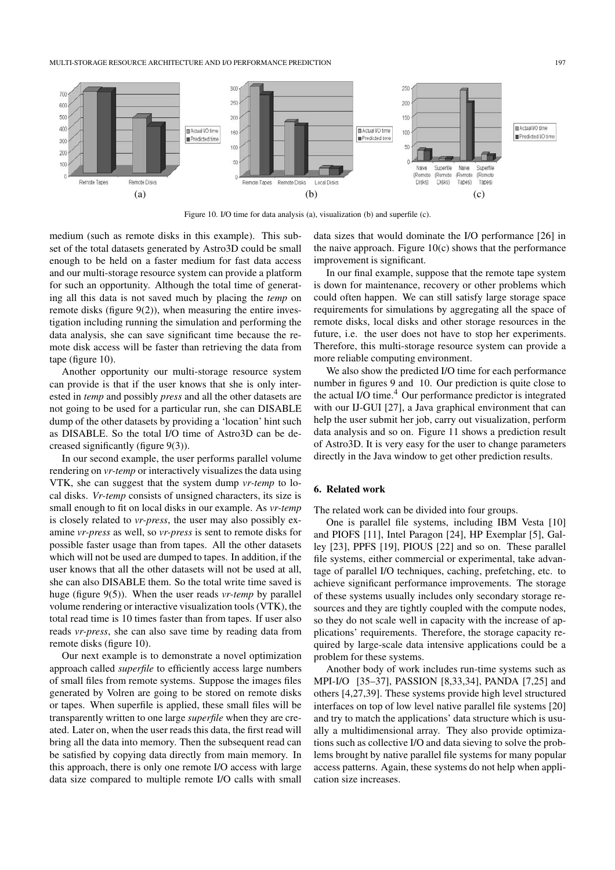MULTI-STORAGE RESOURCE ARCHITECTURE AND I/O PERFORMANCE PREDICTION 197



Figure 10. I/O time for data analysis (a), visualization (b) and superfile (c).

medium (such as remote disks in this example). This subset of the total datasets generated by Astro3D could be small enough to be held on a faster medium for fast data access and our multi-storage resource system can provide a platform for such an opportunity. Although the total time of generating all this data is not saved much by placing the *temp* on remote disks (figure 9(2)), when measuring the entire investigation including running the simulation and performing the data analysis, she can save significant time because the remote disk access will be faster than retrieving the data from tape (figure 10).

Another opportunity our multi-storage resource system can provide is that if the user knows that she is only interested in *temp* and possibly *press* and all the other datasets are not going to be used for a particular run, she can DISABLE dump of the other datasets by providing a 'location' hint such as DISABLE. So the total I/O time of Astro3D can be decreased significantly (figure 9(3)).

In our second example, the user performs parallel volume rendering on *vr-temp* or interactively visualizes the data using VTK, she can suggest that the system dump *vr-temp* to local disks. *Vr-temp* consists of unsigned characters, its size is small enough to fit on local disks in our example. As *vr-temp* is closely related to *vr-press*, the user may also possibly examine *vr-press* as well, so *vr-press* is sent to remote disks for possible faster usage than from tapes. All the other datasets which will not be used are dumped to tapes. In addition, if the user knows that all the other datasets will not be used at all, she can also DISABLE them. So the total write time saved is huge (figure 9(5)). When the user reads *vr-temp* by parallel volume rendering or interactive visualization tools (VTK), the total read time is 10 times faster than from tapes. If user also reads *vr-press*, she can also save time by reading data from remote disks (figure 10).

Our next example is to demonstrate a novel optimization approach called *superfile* to efficiently access large numbers of small files from remote systems. Suppose the images files generated by Volren are going to be stored on remote disks or tapes. When superfile is applied, these small files will be transparently written to one large *superfile* when they are created. Later on, when the user reads this data, the first read will bring all the data into memory. Then the subsequent read can be satisfied by copying data directly from main memory. In this approach, there is only one remote I/O access with large data size compared to multiple remote I/O calls with small

data sizes that would dominate the I/O performance [26] in the naive approach. Figure  $10(c)$  shows that the performance improvement is significant.

In our final example, suppose that the remote tape system is down for maintenance, recovery or other problems which could often happen. We can still satisfy large storage space requirements for simulations by aggregating all the space of remote disks, local disks and other storage resources in the future, i.e. the user does not have to stop her experiments. Therefore, this multi-storage resource system can provide a more reliable computing environment.

We also show the predicted I/O time for each performance number in figures 9 and 10. Our prediction is quite close to the actual I/O time.<sup>4</sup> Our performance predictor is integrated with our IJ-GUI [27], a Java graphical environment that can help the user submit her job, carry out visualization, perform data analysis and so on. Figure 11 shows a prediction result of Astro3D. It is very easy for the user to change parameters directly in the Java window to get other prediction results.

#### **6. Related work**

The related work can be divided into four groups.

One is parallel file systems, including IBM Vesta [10] and PIOFS [11], Intel Paragon [24], HP Exemplar [5], Galley [23], PPFS [19], PIOUS [22] and so on. These parallel file systems, either commercial or experimental, take advantage of parallel I/O techniques, caching, prefetching, etc. to achieve significant performance improvements. The storage of these systems usually includes only secondary storage resources and they are tightly coupled with the compute nodes, so they do not scale well in capacity with the increase of applications' requirements. Therefore, the storage capacity required by large-scale data intensive applications could be a problem for these systems.

Another body of work includes run-time systems such as MPI-I/O [35–37], PASSION [8,33,34], PANDA [7,25] and others [4,27,39]. These systems provide high level structured interfaces on top of low level native parallel file systems [20] and try to match the applications' data structure which is usually a multidimensional array. They also provide optimizations such as collective I/O and data sieving to solve the problems brought by native parallel file systems for many popular access patterns. Again, these systems do not help when application size increases.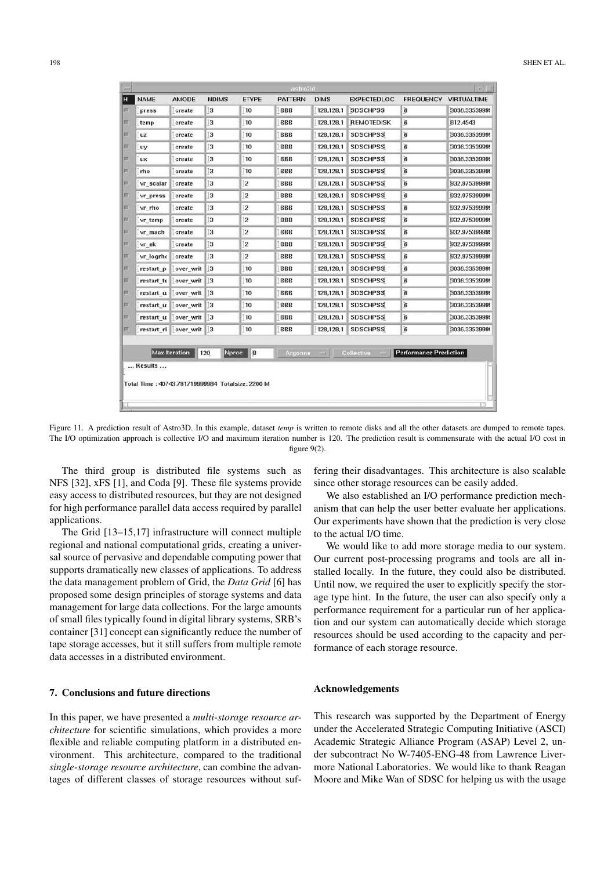|             |              |              |                | astro3d        |             |                    |                  | $-1$               |
|-------------|--------------|--------------|----------------|----------------|-------------|--------------------|------------------|--------------------|
| <b>NAME</b> | <b>AMODE</b> | <b>NDIMS</b> | <b>ETYPE</b>   | <b>PATTERN</b> | <b>DIMS</b> | <b>EXPECTEDLOC</b> | <b>FREQUENCY</b> | <b>VIRTUALTIME</b> |
| press       | create       | 13           | 10             | <b>BBB</b>     | 128,128,1   | <b>SDSCHPSS</b>    | 6                | 3036.3353999!      |
| temp        | create       | 3            | 10             | <b>BBB</b>     | 128,128,1   | <b>REMOTEDISK</b>  | b.               | 812.4543           |
| <b>uz</b>   | create       | 3            | 10             | <b>BBB</b>     | 128,128,1   | <b>SDSCHPSS</b>    | Ï6               | 3036.3353999!      |
| uy          | create       | 3            | 10             | <b>BBB</b>     | 128,128.1   | <b>SDSCHPSS</b>    | b.               | 3036.3353999!      |
| ux          | create       | 3            | 10             | <b>BBB</b>     | 128,128,1   | <b>SDSCHPSS</b>    | Ġ.               | 3036.3353999!      |
| rho         | create       | 3            | 10             | <b>BBB</b>     | 128,128.1   | <b>SDSCHPSS</b>    | ß                | 3036.3353999!      |
| vr scalar   | create       | 3            | $\overline{2}$ | <b>BBB</b>     | 128,128,1   | <b>SDSCHPSS</b>    | Ï6               | 932.97539999!      |
| vr press    | create       | 13           | $\overline{2}$ | <b>BBB</b>     | 128,128,1   | <b>SDSCHPSS</b>    | b.               | 932.97539999!      |
| vr rho      | create       | 3            | $\overline{2}$ | <b>BBB</b>     | 128,128.1   | <b>SDSCHPSS</b>    | Ġ.               | 932.97539999!      |
| vr temp     | create       | 3            | $\overline{2}$ | <b>BBB</b>     | 128,128,1   | <b>SDSCHPSS</b>    | ß.               | 932.97539999!      |
| vr mach     | create       | 3            | $\overline{2}$ | <b>BBB</b>     | 128,128,1   | <b>SDSCHPSS</b>    | ĥ                | 932.97539999!      |
| vr ek       | create       | lз           | $\overline{2}$ | <b>BBB</b>     | 128,128,1   | <b>SDSCHPSS</b>    | b.               | 932.97539999!      |
| vr logrhe   | create       | 3            | $\overline{2}$ | <b>BBB</b>     | 128,128,1   | <b>SDSCHPSS</b>    | b.               | 932.97539999!      |
| restart p   | over writ    | ĪЗ           | 10             | <b>BBB</b>     | 128,128.1   | <b>SDSCHPSS</b>    | B                | 3036.3353999!      |
| restart te  | over writ    | 13           | 10             | <b>BBB</b>     | 128,128,1   | <b>SDSCHPSS</b>    | 6                | 3036.3353999!      |
| restart u   | over writ    | lз           | 10             | <b>BBB</b>     | 128,128,1   | <b>SDSCHPSS</b>    | B.               | 3036.3353999!      |
| restart u   | over writ    | ÏЗ           | 10             | <b>BBB</b>     | 128,128,1   | <b>SDSCHPSS</b>    | Ï6               | 3036.3353999!      |
| restart u   | over writ    | 3            | 10             | <b>BBB</b>     | 128,128,1   | <b>SDSCHPSS</b>    | 6                | 3036.3353999!      |
| restart ri  | over writ    | $^{13}$      | 10             | <b>BBB</b>     | 128,128,1   | <b>SDSCHPSS</b>    | 6                | 3036.3353999!      |

Figure 11. A prediction result of Astro3D. In this example, dataset *temp* is written to remote disks and all the other datasets are dumped to remote tapes. The I/O optimization approach is collective I/O and maximum iteration number is 120. The prediction result is commensurate with the actual I/O cost in figure 9(2).

The third group is distributed file systems such as NFS [32], xFS [1], and Coda [9]. These file systems provide easy access to distributed resources, but they are not designed for high performance parallel data access required by parallel applications.

The Grid [13–15,17] infrastructure will connect multiple regional and national computational grids, creating a universal source of pervasive and dependable computing power that supports dramatically new classes of applications. To address the data management problem of Grid, the *Data Grid* [6] has proposed some design principles of storage systems and data management for large data collections. For the large amounts of small files typically found in digital library systems, SRB's container [31] concept can significantly reduce the number of tape storage accesses, but it still suffers from multiple remote data accesses in a distributed environment.

## **7. Conclusions and future directions**

In this paper, we have presented a *multi-storage resource architecture* for scientific simulations, which provides a more flexible and reliable computing platform in a distributed environment. This architecture, compared to the traditional *single-storage resource architecture*, can combine the advantages of different classes of storage resources without suffering their disadvantages. This architecture is also scalable since other storage resources can be easily added.

We also established an I/O performance prediction mechanism that can help the user better evaluate her applications. Our experiments have shown that the prediction is very close to the actual I/O time.

We would like to add more storage media to our system. Our current post-processing programs and tools are all installed locally. In the future, they could also be distributed. Until now, we required the user to explicitly specify the storage type hint. In the future, the user can also specify only a performance requirement for a particular run of her application and our system can automatically decide which storage resources should be used according to the capacity and performance of each storage resource.

## **Acknowledgements**

This research was supported by the Department of Energy under the Accelerated Strategic Computing Initiative (ASCI) Academic Strategic Alliance Program (ASAP) Level 2, under subcontract No W-7405-ENG-48 from Lawrence Livermore National Laboratories. We would like to thank Reagan Moore and Mike Wan of SDSC for helping us with the usage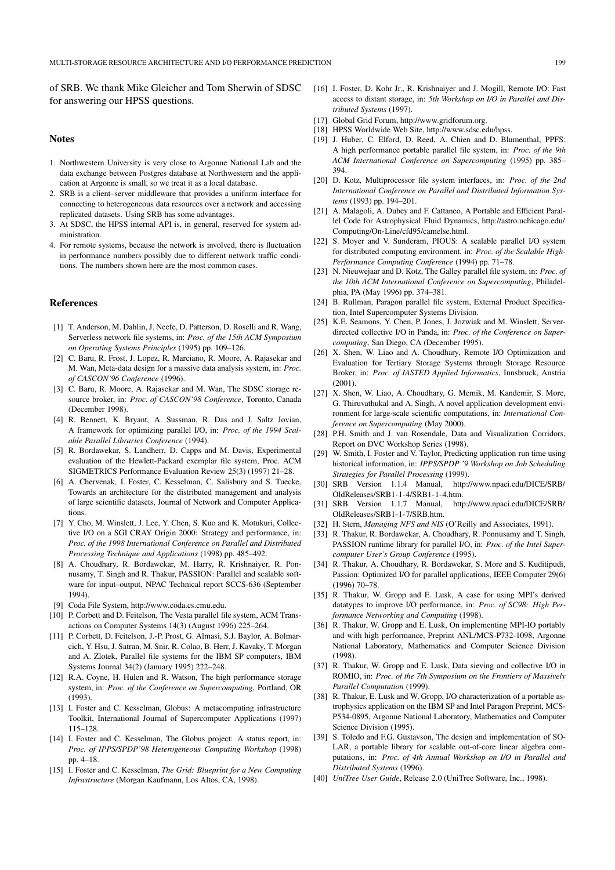of SRB. We thank Mike Gleicher and Tom Sherwin of SDSC for answering our HPSS questions.

#### **Notes**

- 1. Northwestern University is very close to Argonne National Lab and the data exchange between Postgres database at Northwestern and the application at Argonne is small, so we treat it as a local database.
- 2. SRB is a client–server middleware that provides a uniform interface for connecting to heterogeneous data resources over a network and accessing replicated datasets. Using SRB has some advantages.
- 3. At SDSC, the HPSS internal API is, in general, reserved for system administration.
- 4. For remote systems, because the network is involved, there is fluctuation in performance numbers possibly due to different network traffic conditions. The numbers shown here are the most common cases.

#### **References**

- [1] T. Anderson, M. Dahlin, J. Neefe, D. Patterson, D. Roselli and R. Wang, Serverless network file systems, in: *Proc. of the 15th ACM Symposium on Operating Systems Principles* (1995) pp. 109–126.
- [2] C. Baru, R. Frost, J. Lopez, R. Marciano, R. Moore, A. Rajasekar and M. Wan, Meta-data design for a massive data analysis system, in: *Proc. of CASCON'96 Conference* (1996).
- [3] C. Baru, R. Moore, A. Rajasekar and M. Wan, The SDSC storage resource broker, in: *Proc. of CASCON'98 Conference*, Toronto, Canada (December 1998).
- [4] R. Bennett, K. Bryant, A. Sussman, R. Das and J. Saltz Jovian, A framework for optimizing parallel I/O, in: *Proc. of the 1994 Scalable Parallel Libraries Conference* (1994).
- [5] R. Bordawekar, S. Landherr, D. Capps and M. Davis, Experimental evaluation of the Hewlett-Packard exemplar file system, Proc. ACM SIGMETRICS Performance Evaluation Review 25(3) (1997) 21–28.
- [6] A. Chervenak, I. Foster, C. Kesselman, C. Salisbury and S. Tuecke, Towards an architecture for the distributed management and analysis of large scientific datasets, Journal of Network and Computer Applications.
- [7] Y. Cho, M. Winslett, J. Lee, Y. Chen, S. Kuo and K. Motukuri, Collective I/O on a SGI CRAY Origin 2000: Strategy and performance, in: *Proc. of the 1998 International Conference on Parallel and Distributed Processing Technique and Applications* (1998) pp. 485–492.
- [8] A. Choudhary, R. Bordawekar, M. Harry, R. Krishnaiyer, R. Ponnusamy, T. Singh and R. Thakur, PASSION: Parallel and scalable software for input–output, NPAC Technical report SCCS-636 (September 1994).
- [9] Coda File System, http://www.coda.cs.cmu.edu.
- [10] P. Corbett and D. Feitelson, The Vesta parallel file system, ACM Transactions on Computer Systems 14(3) (August 1996) 225–264.
- [11] P. Corbett, D. Feitelson, J.-P. Prost, G. Almasi, S.J. Baylor, A. Bolmarcich, Y. Hsu, J. Satran, M. Snir, R. Colao, B. Herr, J. Kavaky, T. Morgan and A. Zlotek, Parallel file systems for the IBM SP computers, IBM Systems Journal 34(2) (January 1995) 222–248.
- [12] R.A. Coyne, H. Hulen and R. Watson, The high performance storage system, in: *Proc. of the Conference on Supercomputing*, Portland, OR (1993).
- [13] I. Foster and C. Kesselman, Globus: A metacomputing infrastructure Toolkit, International Journal of Supercomputer Applications (1997) 115–128.
- [14] I. Foster and C. Kesselman, The Globus project: A status report, in: *Proc. of IPPS/SPDP'98 Heterogeneous Computing Workshop* (1998) pp. 4–18.
- [15] I. Foster and C. Kesselman, *The Grid: Blueprint for a New Computing Infrastructure* (Morgan Kaufmann, Los Altos, CA, 1998).
- [16] I. Foster, D. Kohr Jr., R. Krishnaiyer and J. Mogill, Remote I/O: Fast access to distant storage, in: *5th Workshop on I/O in Parallel and Distributed Systems* (1997).
- [17] Global Grid Forum, http://www.gridforum.org.
- [18] HPSS Worldwide Web Site, http://www.sdsc.edu/hpss.
- [19] J. Huber, C. Elford, D. Reed, A. Chien and D. Blumenthal, PPFS: A high performance portable parallel file system, in: *Proc. of the 9th ACM International Conference on Supercomputing* (1995) pp. 385– 394.
- [20] D. Kotz, Multiprocessor file system interfaces, in: *Proc. of the 2nd International Conference on Parallel and Distributed Information Systems* (1993) pp. 194–201.
- [21] A. Malagoli, A. Dubey and F. Cattaneo, A Portable and Efficient Parallel Code for Astrophysical Fluid Dynamics, http://astro.uchicago.edu/ Computing/On-Line/cfd95/camelse.html.
- [22] S. Moyer and V. Sunderam, PIOUS: A scalable parallel I/O system for distributed computing environment, in: *Proc. of the Scalable High-Performance Computing Conference* (1994) pp. 71–78.
- [23] N. Nieuwejaar and D. Kotz, The Galley parallel file system, in: *Proc. of the 10th ACM International Conference on Supercomputing*, Philadelphia, PA (May 1996) pp. 374–381.
- [24] B. Rullman, Paragon parallel file system, External Product Specification, Intel Supercomputer Systems Division.
- [25] K.E. Seamons, Y. Chen, P. Jones, J. Jozwiak and M. Winslett, Serverdirected collective I/O in Panda, in: *Proc. of the Conference on Supercomputing*, San Diego, CA (December 1995).
- [26] X. Shen, W. Liao and A. Choudhary, Remote I/O Optimization and Evaluation for Tertiary Storage Systems through Storage Resource Broker, in: *Proc. of IASTED Applied Informatics*, Innsbruck, Austria  $(2001)$ .
- [27] X. Shen, W. Liao, A. Choudhary, G. Memik, M. Kandemir, S. More, G. Thiruvathukal and A. Singh, A novel application development environment for large-scale scientific computations, in: *International Conference on Supercomputing* (May 2000).
- [28] P.H. Smith and J. van Rosendale, Data and Visualization Corridors, Report on DVC Workshop Series (1998).
- [29] W. Smith, I. Foster and V. Taylor, Predicting application run time using historical information, in: *IPPS/SPDP '9 Workshop on Job Scheduling Strategies for Parallel Processing* (1999).
- [30] SRB Version 1.1.4 Manual, http://www.npaci.edu/DICE/SRB/ OldReleases/SRB1-1-4/SRB1-1-4.htm.
- [31] SRB Version 1.1.7 Manual, http://www.npaci.edu/DICE/SRB/ OldReleases/SRB1-1-7/SRB.htm.
- [32] H. Stern, *Managing NFS and NIS* (O'Reilly and Associates, 1991).
- [33] R. Thakur, R. Bordawekar, A. Choudhary, R. Ponnusamy and T. Singh, PASSION runtime library for parallel I/O, in: *Proc. of the Intel Supercomputer User's Group Conference* (1995).
- [34] R. Thakur, A. Choudhary, R. Bordawekar, S. More and S. Kuditipudi, Passion: Optimized I/O for parallel applications, IEEE Computer 29(6) (1996) 70–78.
- [35] R. Thakur, W. Gropp and E. Lusk, A case for using MPI's derived datatypes to improve I/O performance, in: *Proc. of SC98: High Performance Networking and Computing* (1998).
- [36] R. Thakur, W. Gropp and E. Lusk, On implementing MPI-IO portably and with high performance, Preprint ANL/MCS-P732-1098, Argonne National Laboratory, Mathematics and Computer Science Division (1998).
- [37] R. Thakur, W. Gropp and E. Lusk, Data sieving and collective I/O in ROMIO, in: *Proc. of the 7th Symposium on the Frontiers of Massively Parallel Computation* (1999).
- [38] R. Thakur, E. Lusk and W. Gropp, I/O characterization of a portable astrophysics application on the IBM SP and Intel Paragon Preprint, MCS-P534-0895, Argonne National Laboratory, Mathematics and Computer Science Division (1995).
- [39] S. Toledo and F.G. Gustavson, The design and implementation of SO-LAR, a portable library for scalable out-of-core linear algebra computations, in: *Proc. of 4th Annual Workshop on I/O in Parallel and Distributed Systems* (1996).
- [40] *UniTree User Guide*, Release 2.0 (UniTree Software, Inc., 1998).